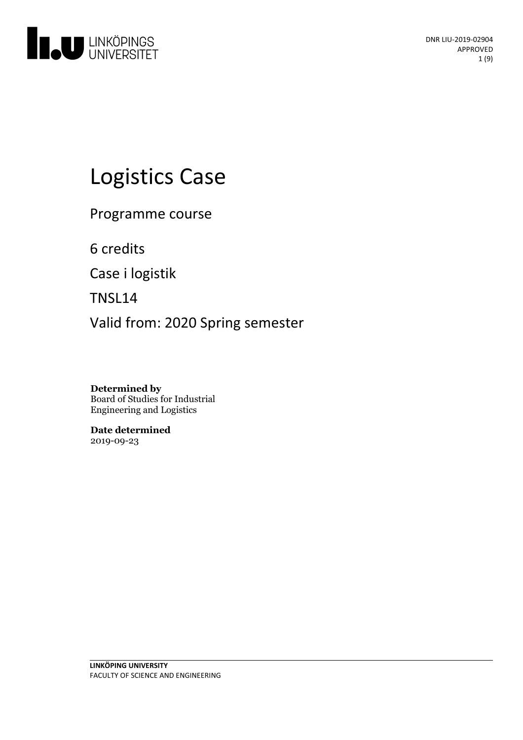

# Logistics Case

Programme course

6 credits

Case i logistik

TNSL14

Valid from: 2020 Spring semester

**Determined by** Board of Studies for Industrial Engineering and Logistics

**Date determined** 2019-09-23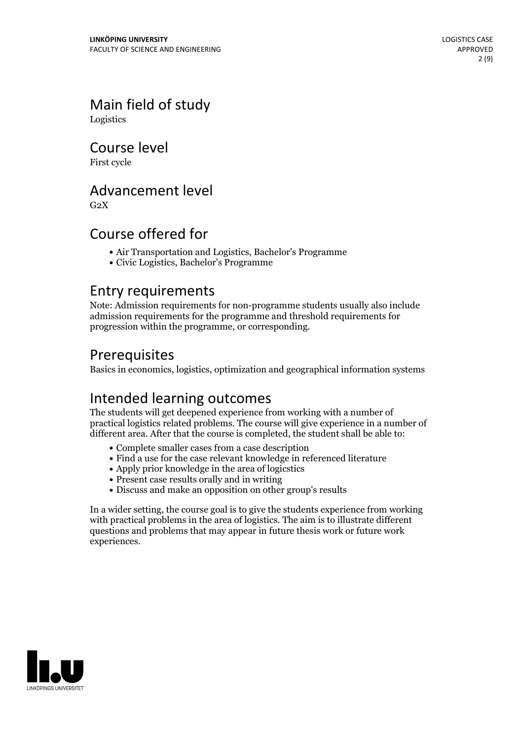### Main field of study Logistics

Course level

First cycle

# Advancement level

 $G<sub>2</sub>X$ 

# Course offered for

- Air Transportation and Logistics, Bachelor's Programme
- Civic Logistics, Bachelor's Programme

### Entry requirements

Note: Admission requirements for non-programme students usually also include admission requirements for the programme and threshold requirements for progression within the programme, or corresponding.

# Prerequisites

Basics in economics, logistics, optimization and geographical information systems

# Intended learning outcomes

The students will get deepened experience from working with a number of practical logistics related problems. The course will give experience in a number of different area. After that the course is completed, the student shall be able to:

- Complete smaller cases from a case description
- Find a use for the case relevant knowledge in referenced literature
- Apply prior knowledge in the area of logicstics
- Present case results orally and in writing
- Discuss and make an opposition on other group's results

In a wider setting, the course goal is to give the students experience from working with practical problems in the area of logistics. The aim is to illustrate different questions and problems that may appear in future thesis work or future work experiences.

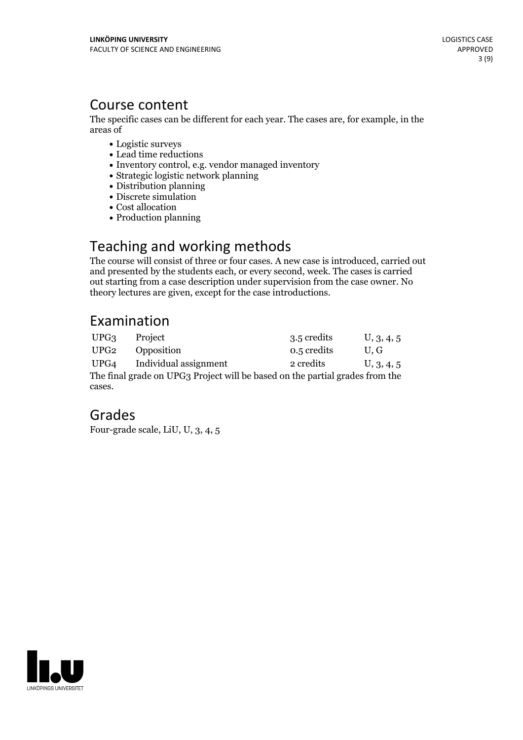### Course content

The specific cases can be different for each year. The cases are, for example, in the areas of

- Logistic surveys
- Lead time reductions
- Inventory control, e.g. vendor managed inventory
- Strategic logistic network planning
- Distribution planning
- Discrete simulation
- Cost allocation
- Production planning

# Teaching and working methods

The course will consist of three or four cases. A new case is introduced, carried out and presented by the students each, or every second, week. The cases is carried out starting from a case description under supervision from the case owner. No theory lectures are given, except for the case introductions.

# Examination

| UPG3                                                                         | Project               | 3.5 credits | U, 3, 4, 5 |
|------------------------------------------------------------------------------|-----------------------|-------------|------------|
| UPG <sub>2</sub>                                                             | Opposition            | 0.5 credits | U.G        |
| UPG4                                                                         | Individual assignment | 2 credits   | U, 3, 4, 5 |
| The final grade on UPG3 Project will be based on the partial grades from the |                       |             |            |
| cases.                                                                       |                       |             |            |

# Grades

Four-grade scale, LiU, U, 3, 4, 5

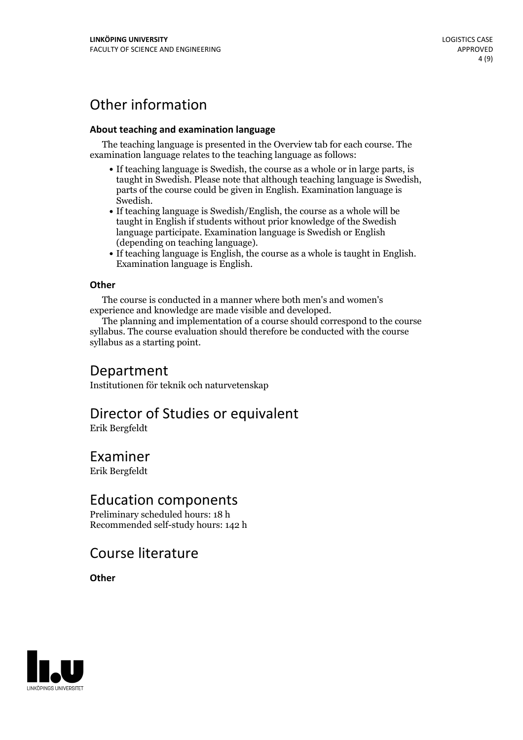# Other information

#### **About teaching and examination language**

The teaching language is presented in the Overview tab for each course. The examination language relates to the teaching language as follows:

- If teaching language is Swedish, the course as a whole or in large parts, is taught in Swedish. Please note that although teaching language is Swedish, parts of the course could be given in English. Examination language is
- Swedish.<br>• If teaching language is Swedish/English, the course as a whole will be taught in English if students without prior knowledge of the Swedish language participate. Examination language is Swedish or English
- $\bullet$  If teaching language is English, the course as a whole is taught in English. Examination language is English.

#### **Other**

The course is conducted in a manner where both men's and women's

experience and knowledge are made visible and developed. The planning and implementation of <sup>a</sup> course should correspond to the course syllabus. The course evaluation should therefore be conducted with the course syllabus as a starting point.

### Department

Institutionen för teknik och naturvetenskap

# Director of Studies or equivalent

Erik Bergfeldt

### Examiner

Erik Bergfeldt

### Education components

Preliminary scheduled hours: 18 h Recommended self-study hours: 142 h

### Course literature

**Other**

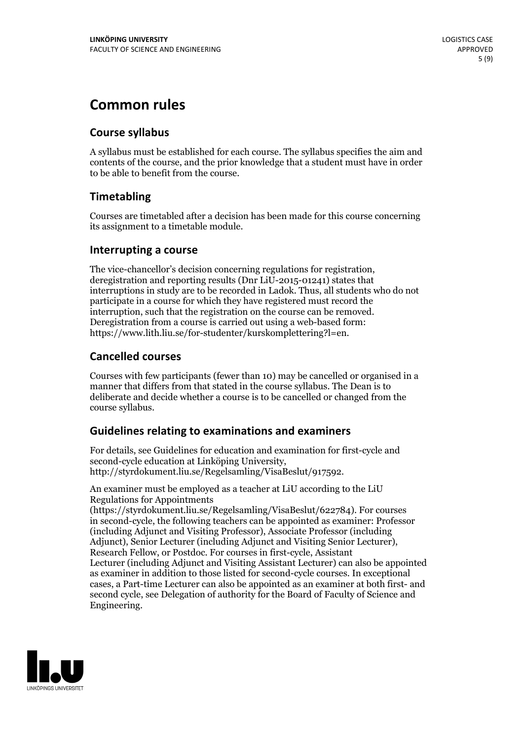# **Common rules**

#### **Course syllabus**

A syllabus must be established for each course. The syllabus specifies the aim and contents of the course, and the prior knowledge that a student must have in order to be able to benefit from the course.

### **Timetabling**

Courses are timetabled after a decision has been made for this course concerning its assignment to a timetable module.

#### **Interrupting a course**

The vice-chancellor's decision concerning regulations for registration, deregistration and reporting results (Dnr LiU-2015-01241) states that interruptions in study are to be recorded in Ladok. Thus, all students who do not participate in a course for which they have registered must record the interruption, such that the registration on the course can be removed. Deregistration from <sup>a</sup> course is carried outusing <sup>a</sup> web-based form: https://www.lith.liu.se/for-studenter/kurskomplettering?l=en.

### **Cancelled courses**

Courses with few participants (fewer than 10) may be cancelled or organised in a manner that differs from that stated in the course syllabus. The Dean is to deliberate and decide whether a course is to be cancelled or changed from the course syllabus.

### **Guidelines relatingto examinations and examiners**

For details, see Guidelines for education and examination for first-cycle and second-cycle education at Linköping University, http://styrdokument.liu.se/Regelsamling/VisaBeslut/917592.

An examiner must be employed as a teacher at LiU according to the LiU Regulations for Appointments

(https://styrdokument.liu.se/Regelsamling/VisaBeslut/622784). For courses in second-cycle, the following teachers can be appointed as examiner: Professor (including Adjunct and Visiting Professor), Associate Professor (including Adjunct), Senior Lecturer (including Adjunct and Visiting Senior Lecturer), Research Fellow, or Postdoc. For courses in first-cycle, Assistant Lecturer (including Adjunct and Visiting Assistant Lecturer) can also be appointed as examiner in addition to those listed for second-cycle courses. In exceptional cases, a Part-time Lecturer can also be appointed as an examiner at both first- and second cycle, see Delegation of authority for the Board of Faculty of Science and Engineering.

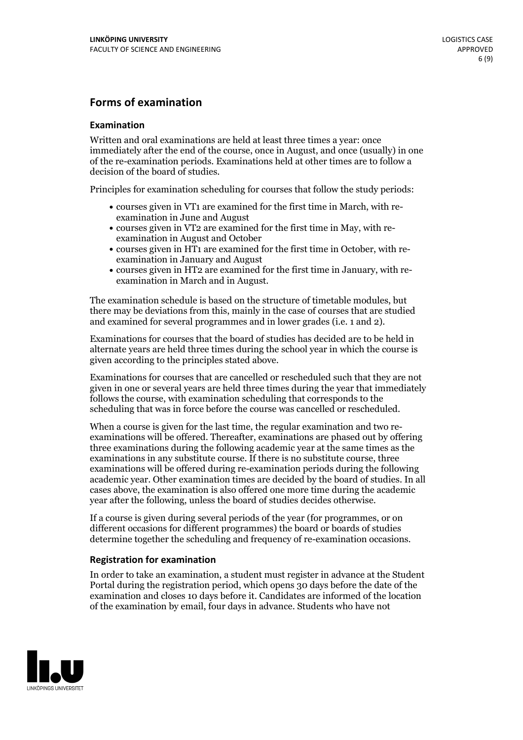#### **Forms of examination**

#### **Examination**

Written and oral examinations are held at least three times a year: once immediately after the end of the course, once in August, and once (usually) in one of the re-examination periods. Examinations held at other times are to follow a decision of the board of studies.

Principles for examination scheduling for courses that follow the study periods:

- courses given in VT1 are examined for the first time in March, with re-examination in June and August
- courses given in VT2 are examined for the first time in May, with re-examination in August and October
- courses given in HT1 are examined for the first time in October, with re-examination in January and August
- courses given in HT2 are examined for the first time in January, with re-examination in March and in August.

The examination schedule is based on the structure of timetable modules, but there may be deviations from this, mainly in the case of courses that are studied and examined for several programmes and in lower grades (i.e. 1 and 2).

Examinations for courses that the board of studies has decided are to be held in alternate years are held three times during the school year in which the course is given according to the principles stated above.

Examinations for courses that are cancelled orrescheduled such that they are not given in one or several years are held three times during the year that immediately follows the course, with examination scheduling that corresponds to the scheduling that was in force before the course was cancelled or rescheduled.

When a course is given for the last time, the regular examination and two re-<br>examinations will be offered. Thereafter, examinations are phased out by offering three examinations during the following academic year at the same times as the examinations in any substitute course. If there is no substitute course, three examinations will be offered during re-examination periods during the following academic year. Other examination times are decided by the board of studies. In all cases above, the examination is also offered one more time during the academic year after the following, unless the board of studies decides otherwise.

If a course is given during several periods of the year (for programmes, or on different occasions for different programmes) the board or boards of studies determine together the scheduling and frequency of re-examination occasions.

#### **Registration for examination**

In order to take an examination, a student must register in advance at the Student Portal during the registration period, which opens 30 days before the date of the examination and closes 10 days before it. Candidates are informed of the location of the examination by email, four days in advance. Students who have not

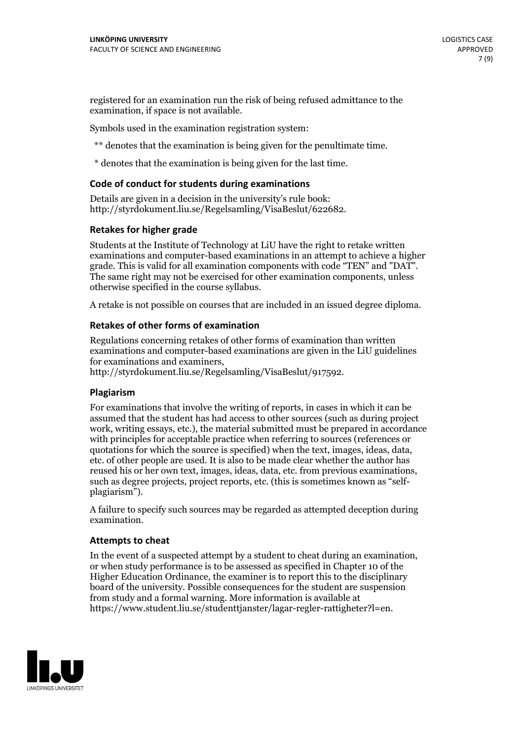registered for an examination run the risk of being refused admittance to the examination, if space is not available.

Symbols used in the examination registration system:

\*\* denotes that the examination is being given for the penultimate time.

\* denotes that the examination is being given for the last time.

#### **Code of conduct for students during examinations**

Details are given in a decision in the university's rule book: http://styrdokument.liu.se/Regelsamling/VisaBeslut/622682.

#### **Retakes for higher grade**

Students at the Institute of Technology at LiU have the right to retake written examinations and computer-based examinations in an attempt to achieve a higher grade. This is valid for all examination components with code "TEN" and "DAT". The same right may not be exercised for other examination components, unless otherwise specified in the course syllabus.

A retake is not possible on courses that are included in an issued degree diploma.

#### **Retakes of other forms of examination**

Regulations concerning retakes of other forms of examination than written examinations and computer-based examinations are given in the LiU guidelines

http://styrdokument.liu.se/Regelsamling/VisaBeslut/917592.

#### **Plagiarism**

For examinations that involve the writing of reports, in cases in which it can be assumed that the student has had access to other sources (such as during project work, writing essays, etc.), the material submitted must be prepared in accordance with principles for acceptable practice when referring to sources (references or quotations for which the source is specified) when the text, images, ideas, data,  $\vec{e}$  etc. of other people are used. It is also to be made clear whether the author has reused his or her own text, images, ideas, data, etc. from previous examinations, such as degree projects, project reports, etc. (this is sometimes known as "self- plagiarism").

A failure to specify such sources may be regarded as attempted deception during examination.

#### **Attempts to cheat**

In the event of <sup>a</sup> suspected attempt by <sup>a</sup> student to cheat during an examination, or when study performance is to be assessed as specified in Chapter <sup>10</sup> of the Higher Education Ordinance, the examiner is to report this to the disciplinary board of the university. Possible consequences for the student are suspension from study and a formal warning. More information is available at https://www.student.liu.se/studenttjanster/lagar-regler-rattigheter?l=en.

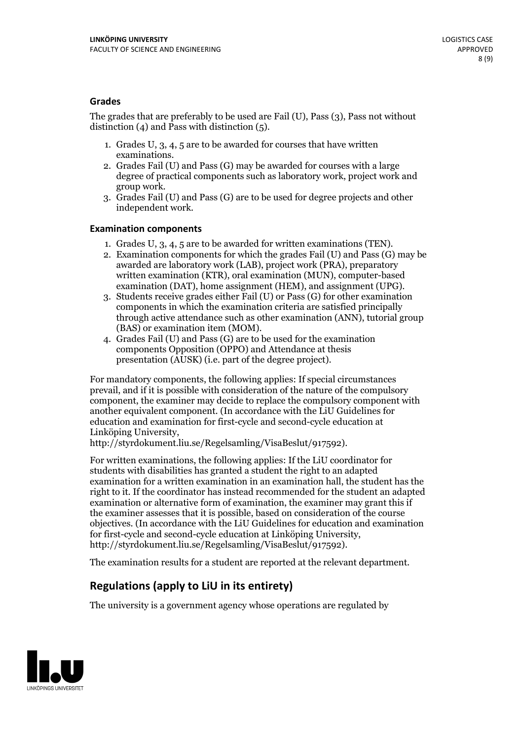#### **Grades**

The grades that are preferably to be used are Fail (U), Pass (3), Pass not without distinction  $(4)$  and Pass with distinction  $(5)$ .

- 1. Grades U, 3, 4, 5 are to be awarded for courses that have written
- examinations. 2. Grades Fail (U) and Pass (G) may be awarded for courses with <sup>a</sup> large degree of practical components such as laboratory work, project work and group work. 3. Grades Fail (U) and Pass (G) are to be used for degree projects and other
- independent work.

#### **Examination components**

- 
- 1. Grades U, 3, 4, <sup>5</sup> are to be awarded for written examinations (TEN). 2. Examination components for which the grades Fail (U) and Pass (G) may be awarded are laboratory work (LAB), project work (PRA), preparatory written examination (KTR), oral examination (MUN), computer-based
- examination (DAT), home assignment (HEM), and assignment (UPG). 3. Students receive grades either Fail (U) or Pass (G) for other examination components in which the examination criteria are satisfied principally through active attendance such as other examination (ANN), tutorial group
- (BAS) or examination item (MOM). 4. Grades Fail (U) and Pass (G) are to be used for the examination components Opposition (OPPO) and Attendance at thesis presentation (AUSK) (i.e. part of the degree project).

For mandatory components, the following applies: If special circumstances prevail, and if it is possible with consideration of the nature of the compulsory component, the examiner may decide to replace the compulsory component with another equivalent component. (In accordance with the LiU Guidelines for education and examination for first-cycle and second-cycle education at Linköping University, http://styrdokument.liu.se/Regelsamling/VisaBeslut/917592).

For written examinations, the following applies: If the LiU coordinator for students with disabilities has granted a student the right to an adapted examination for a written examination in an examination hall, the student has the right to it. If the coordinator has instead recommended for the student an adapted examination or alternative form of examination, the examiner may grant this if the examiner assesses that it is possible, based on consideration of the course objectives. (In accordance with the LiU Guidelines for education and examination for first-cycle and second-cycle education at Linköping University, http://styrdokument.liu.se/Regelsamling/VisaBeslut/917592).

The examination results for a student are reported at the relevant department.

### **Regulations (applyto LiU in its entirety)**

The university is a government agency whose operations are regulated by